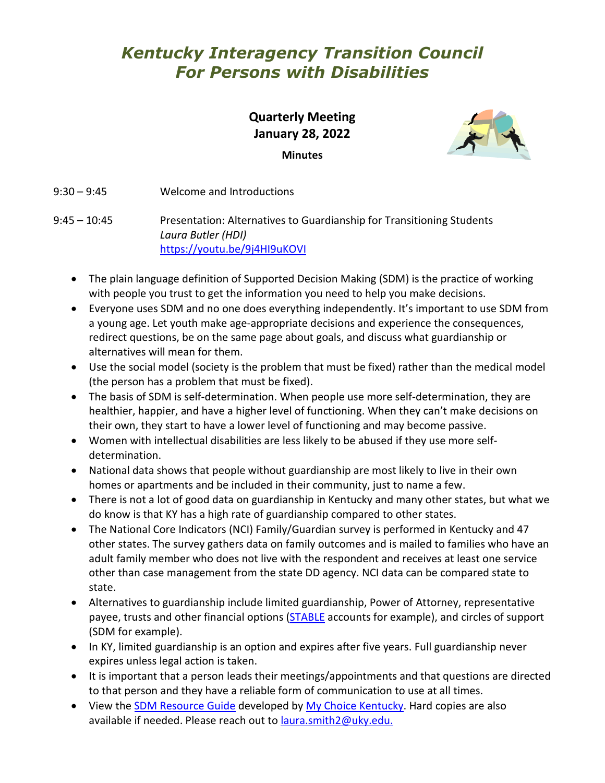# *Kentucky Interagency Transition Council For Persons with Disabilities*

**Quarterly Meeting January 28, 2022 Minutes**



9:30 – 9:45 Welcome and Introductions

9:45 – 10:45 Presentation: Alternatives to Guardianship for Transitioning Students *Laura Butler (HDI)* <https://youtu.be/9j4HI9uKOVI>

- The plain language definition of Supported Decision Making (SDM) is the practice of working with people you trust to get the information you need to help you make decisions.
- Everyone uses SDM and no one does everything independently. It's important to use SDM from a young age. Let youth make age-appropriate decisions and experience the consequences, redirect questions, be on the same page about goals, and discuss what guardianship or alternatives will mean for them.
- Use the social model (society is the problem that must be fixed) rather than the medical model (the person has a problem that must be fixed).
- The basis of SDM is self-determination. When people use more self-determination, they are healthier, happier, and have a higher level of functioning. When they can't make decisions on their own, they start to have a lower level of functioning and may become passive.
- Women with intellectual disabilities are less likely to be abused if they use more selfdetermination.
- National data shows that people without guardianship are most likely to live in their own homes or apartments and be included in their community, just to name a few.
- There is not a lot of good data on guardianship in Kentucky and many other states, but what we do know is that KY has a high rate of guardianship compared to other states.
- The National Core Indicators (NCI) Family/Guardian survey is performed in Kentucky and 47 other states. The survey gathers data on family outcomes and is mailed to families who have an adult family member who does not live with the respondent and receives at least one service other than case management from the state DD agency. NCI data can be compared state to state.
- Alternatives to guardianship include limited guardianship, Power of Attorney, representative payee, trusts and other financial options [\(STABLE](https://www.stablekentucky.com/) accounts for example), and circles of support (SDM for example).
- In KY, limited guardianship is an option and expires after five years. Full guardianship never expires unless legal action is taken.
- It is important that a person leads their meetings/appointments and that questions are directed to that person and they have a reliable form of communication to use at all times.
- View the **SDM Resource Guide developed by My Choice Kentucky**. Hard copies are also available if needed. Please reach out to [laura.smith2@uky.edu.](mailto:laura.smith2@uky.edu)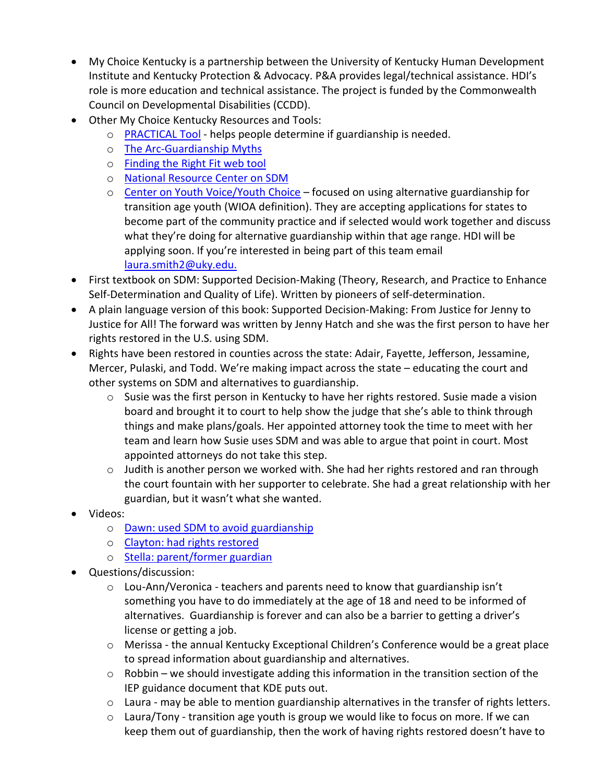- My Choice Kentucky is a partnership between the University of Kentucky Human Development Institute and Kentucky Protection & Advocacy. P&A provides legal/technical assistance. HDI's role is more education and technical assistance. The project is funded by the Commonwealth Council on Developmental Disabilities (CCDD).
- Other My Choice Kentucky Resources and Tools:
	- o [PRACTICAL Tool](https://www.americanbar.org/groups/law_aging/resources/guardianship_law_practice/practical_tool/) helps people determine if guardianship is needed.
	- o [The Arc-Guardianship Myths](http://thearc.org/wp-content/uploads/2020/09/Guardianship-Myths-Center-for-Future-Planning.pdf)
	- o [Finding the Right Fit web tool](https://eji.courtlms.org/catalog/info/id:140,cms_featured_course:1)
	- o [National Resource Center on SDM](http://www.supporteddecisionmaking.org/)
	- o [Center on Youth Voice/Youth Choice](https://youth-voice.org/) focused on using alternative guardianship for transition age youth (WIOA definition). They are accepting applications for states to become part of the community practice and if selected would work together and discuss what they're doing for alternative guardianship within that age range. HDI will be applying soon. If you're interested in being part of this team email [laura.smith2@uky.edu.](mailto:laura.smith2@uky.edu)
- First textbook on SDM: Supported Decision-Making (Theory, Research, and Practice to Enhance Self-Determination and Quality of Life). Written by pioneers of self-determination.
- A plain language version of this book: Supported Decision-Making: From Justice for Jenny to Justice for All! The forward was written by Jenny Hatch and she was the first person to have her rights restored in the U.S. using SDM.
- Rights have been restored in counties across the state: Adair, Fayette, Jefferson, Jessamine, Mercer, Pulaski, and Todd. We're making impact across the state – educating the court and other systems on SDM and alternatives to guardianship.
	- $\circ$  Susie was the first person in Kentucky to have her rights restored. Susie made a vision board and brought it to court to help show the judge that she's able to think through things and make plans/goals. Her appointed attorney took the time to meet with her team and learn how Susie uses SDM and was able to argue that point in court. Most appointed attorneys do not take this step.
	- $\circ$  Judith is another person we worked with. She had her rights restored and ran through the court fountain with her supporter to celebrate. She had a great relationship with her guardian, but it wasn't what she wanted.
- Videos:
	- o [Dawn: used SDM to avoid guardianship](https://www.youtube.com/watch?v=80D-VQfAZeg)
	- o [Clayton: had rights restored](https://www.youtube.com/watch?v=6Is4ifO4dmM)
	- o [Stella: parent/former guardian](https://www.youtube.com/watch?v=hbDjso6utCw)
- Questions/discussion:
	- o Lou-Ann/Veronica teachers and parents need to know that guardianship isn't something you have to do immediately at the age of 18 and need to be informed of alternatives. Guardianship is forever and can also be a barrier to getting a driver's license or getting a job.
	- o Merissa the annual Kentucky Exceptional Children's Conference would be a great place to spread information about guardianship and alternatives.
	- $\circ$  Robbin we should investigate adding this information in the transition section of the IEP guidance document that KDE puts out.
	- o Laura may be able to mention guardianship alternatives in the transfer of rights letters.
	- o Laura/Tony transition age youth is group we would like to focus on more. If we can keep them out of guardianship, then the work of having rights restored doesn't have to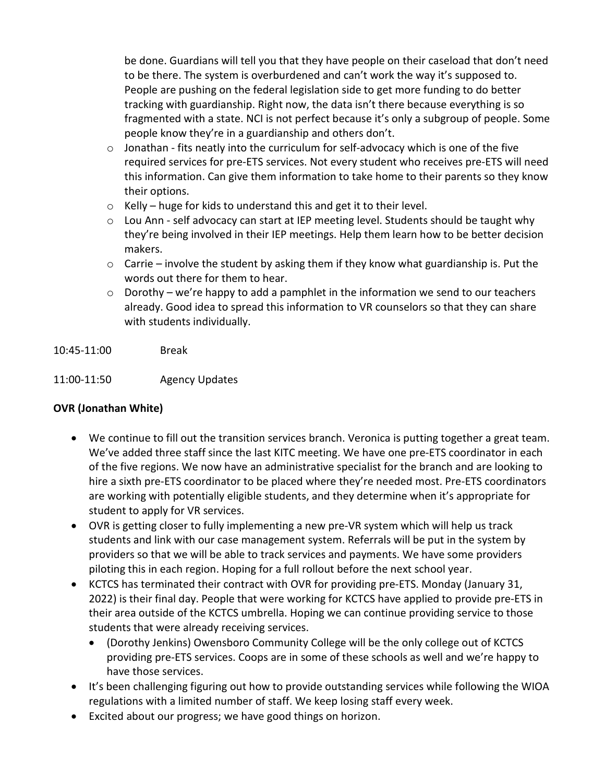be done. Guardians will tell you that they have people on their caseload that don't need to be there. The system is overburdened and can't work the way it's supposed to. People are pushing on the federal legislation side to get more funding to do better tracking with guardianship. Right now, the data isn't there because everything is so fragmented with a state. NCI is not perfect because it's only a subgroup of people. Some people know they're in a guardianship and others don't.

- o Jonathan fits neatly into the curriculum for self-advocacy which is one of the five required services for pre-ETS services. Not every student who receives pre-ETS will need this information. Can give them information to take home to their parents so they know their options.
- $\circ$  Kelly huge for kids to understand this and get it to their level.
- o Lou Ann self advocacy can start at IEP meeting level. Students should be taught why they're being involved in their IEP meetings. Help them learn how to be better decision makers.
- $\circ$  Carrie involve the student by asking them if they know what guardianship is. Put the words out there for them to hear.
- $\circ$  Dorothy we're happy to add a pamphlet in the information we send to our teachers already. Good idea to spread this information to VR counselors so that they can share with students individually.
- 10:45-11:00 Break
- 11:00-11:50 Agency Updates

#### **OVR (Jonathan White)**

- We continue to fill out the transition services branch. Veronica is putting together a great team. We've added three staff since the last KITC meeting. We have one pre-ETS coordinator in each of the five regions. We now have an administrative specialist for the branch and are looking to hire a sixth pre-ETS coordinator to be placed where they're needed most. Pre-ETS coordinators are working with potentially eligible students, and they determine when it's appropriate for student to apply for VR services.
- OVR is getting closer to fully implementing a new pre-VR system which will help us track students and link with our case management system. Referrals will be put in the system by providers so that we will be able to track services and payments. We have some providers piloting this in each region. Hoping for a full rollout before the next school year.
- KCTCS has terminated their contract with OVR for providing pre-ETS. Monday (January 31, 2022) is their final day. People that were working for KCTCS have applied to provide pre-ETS in their area outside of the KCTCS umbrella. Hoping we can continue providing service to those students that were already receiving services.
	- (Dorothy Jenkins) Owensboro Community College will be the only college out of KCTCS providing pre-ETS services. Coops are in some of these schools as well and we're happy to have those services.
- It's been challenging figuring out how to provide outstanding services while following the WIOA regulations with a limited number of staff. We keep losing staff every week.
- Excited about our progress; we have good things on horizon.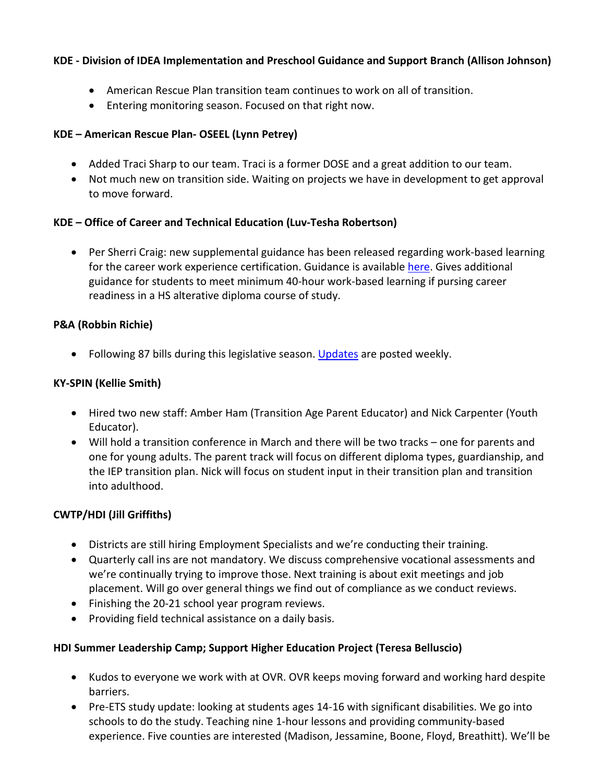#### **KDE - Division of IDEA Implementation and Preschool Guidance and Support Branch (Allison Johnson)**

- American Rescue Plan transition team continues to work on all of transition.
- Entering monitoring season. Focused on that right now.

#### **KDE – American Rescue Plan- OSEEL (Lynn Petrey)**

- Added Traci Sharp to our team. Traci is a former DOSE and a great addition to our team.
- Not much new on transition side. Waiting on projects we have in development to get approval to move forward.

#### **KDE – Office of Career and Technical Education (Luv-Tesha Robertson)**

• Per Sherri Craig: new supplemental guidance has been released regarding work-based learning for the career work experience certification. Guidance is availabl[e here.](https://www.education.ky.gov/CTE/cter/Pages/cteexcepchild.aspx) Gives additional guidance for students to meet minimum 40-hour work-based learning if pursing career readiness in a HS alterative diploma course of study.

#### **P&A (Robbin Richie)**

• Following 87 bills during this legislative season. [Updates](http://www.kypa.net/) are posted weekly.

#### **KY-SPIN (Kellie Smith)**

- Hired two new staff: Amber Ham (Transition Age Parent Educator) and Nick Carpenter (Youth Educator).
- Will hold a transition conference in March and there will be two tracks one for parents and one for young adults. The parent track will focus on different diploma types, guardianship, and the IEP transition plan. Nick will focus on student input in their transition plan and transition into adulthood.

#### **CWTP/HDI (Jill Griffiths)**

- Districts are still hiring Employment Specialists and we're conducting their training.
- Quarterly call ins are not mandatory. We discuss comprehensive vocational assessments and we're continually trying to improve those. Next training is about exit meetings and job placement. Will go over general things we find out of compliance as we conduct reviews.
- Finishing the 20-21 school year program reviews.
- Providing field technical assistance on a daily basis.

#### **HDI Summer Leadership Camp; Support Higher Education Project (Teresa Belluscio)**

- Kudos to everyone we work with at OVR. OVR keeps moving forward and working hard despite barriers.
- Pre-ETS study update: looking at students ages 14-16 with significant disabilities. We go into schools to do the study. Teaching nine 1-hour lessons and providing community-based experience. Five counties are interested (Madison, Jessamine, Boone, Floyd, Breathitt). We'll be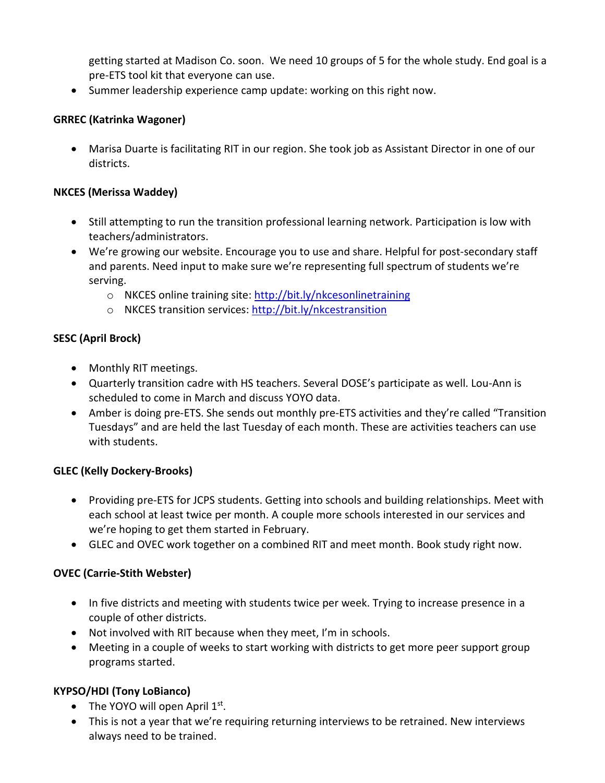getting started at Madison Co. soon. We need 10 groups of 5 for the whole study. End goal is a pre-ETS tool kit that everyone can use.

• Summer leadership experience camp update: working on this right now.

#### **GRREC (Katrinka Wagoner)**

• Marisa Duarte is facilitating RIT in our region. She took job as Assistant Director in one of our districts.

#### **NKCES (Merissa Waddey)**

- Still attempting to run the transition professional learning network. Participation is low with teachers/administrators.
- We're growing our website. Encourage you to use and share. Helpful for post-secondary staff and parents. Need input to make sure we're representing full spectrum of students we're serving.
	- o NKCES online training site:<http://bit.ly/nkcesonlinetraining>
	- o NKCES transition services:<http://bit.ly/nkcestransition>

### **SESC (April Brock)**

- Monthly RIT meetings.
- Quarterly transition cadre with HS teachers. Several DOSE's participate as well. Lou-Ann is scheduled to come in March and discuss YOYO data.
- Amber is doing pre-ETS. She sends out monthly pre-ETS activities and they're called "Transition Tuesdays" and are held the last Tuesday of each month. These are activities teachers can use with students.

#### **GLEC (Kelly Dockery-Brooks)**

- Providing pre-ETS for JCPS students. Getting into schools and building relationships. Meet with each school at least twice per month. A couple more schools interested in our services and we're hoping to get them started in February.
- GLEC and OVEC work together on a combined RIT and meet month. Book study right now.

#### **OVEC (Carrie-Stith Webster)**

- In five districts and meeting with students twice per week. Trying to increase presence in a couple of other districts.
- Not involved with RIT because when they meet, I'm in schools.
- Meeting in a couple of weeks to start working with districts to get more peer support group programs started.

# **KYPSO/HDI (Tony LoBianco)**

- The YOYO will open April  $1<sup>st</sup>$ .
- This is not a year that we're requiring returning interviews to be retrained. New interviews always need to be trained.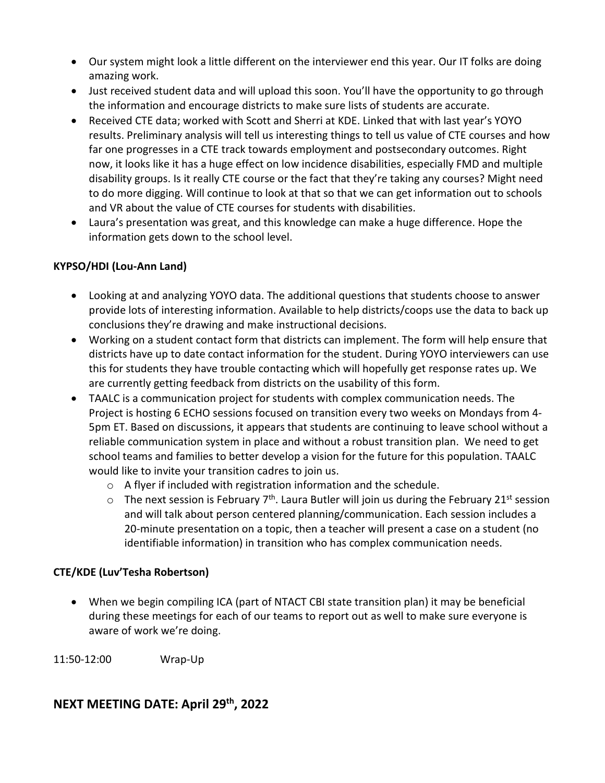- Our system might look a little different on the interviewer end this year. Our IT folks are doing amazing work.
- Just received student data and will upload this soon. You'll have the opportunity to go through the information and encourage districts to make sure lists of students are accurate.
- Received CTE data; worked with Scott and Sherri at KDE. Linked that with last year's YOYO results. Preliminary analysis will tell us interesting things to tell us value of CTE courses and how far one progresses in a CTE track towards employment and postsecondary outcomes. Right now, it looks like it has a huge effect on low incidence disabilities, especially FMD and multiple disability groups. Is it really CTE course or the fact that they're taking any courses? Might need to do more digging. Will continue to look at that so that we can get information out to schools and VR about the value of CTE courses for students with disabilities.
- Laura's presentation was great, and this knowledge can make a huge difference. Hope the information gets down to the school level.

# **KYPSO/HDI (Lou-Ann Land)**

- Looking at and analyzing YOYO data. The additional questions that students choose to answer provide lots of interesting information. Available to help districts/coops use the data to back up conclusions they're drawing and make instructional decisions.
- Working on a student contact form that districts can implement. The form will help ensure that districts have up to date contact information for the student. During YOYO interviewers can use this for students they have trouble contacting which will hopefully get response rates up. We are currently getting feedback from districts on the usability of this form.
- TAALC is a communication project for students with complex communication needs. The Project is hosting 6 ECHO sessions focused on transition every two weeks on Mondays from 4- 5pm ET. Based on discussions, it appears that students are continuing to leave school without a reliable communication system in place and without a robust transition plan. We need to get school teams and families to better develop a vision for the future for this population. TAALC would like to invite your transition cadres to join us.
	- $\circ$  A flyer if included with registration information and the schedule.
	- $\circ$  The next session is February 7<sup>th</sup>. Laura Butler will join us during the February 21<sup>st</sup> session and will talk about person centered planning/communication. Each session includes a 20-minute presentation on a topic, then a teacher will present a case on a student (no identifiable information) in transition who has complex communication needs.

# **CTE/KDE (Luv'Tesha Robertson)**

• When we begin compiling ICA (part of NTACT CBI state transition plan) it may be beneficial during these meetings for each of our teams to report out as well to make sure everyone is aware of work we're doing.

11:50-12:00 Wrap-Up

# **NEXT MEETING DATE: April 29th, 2022**